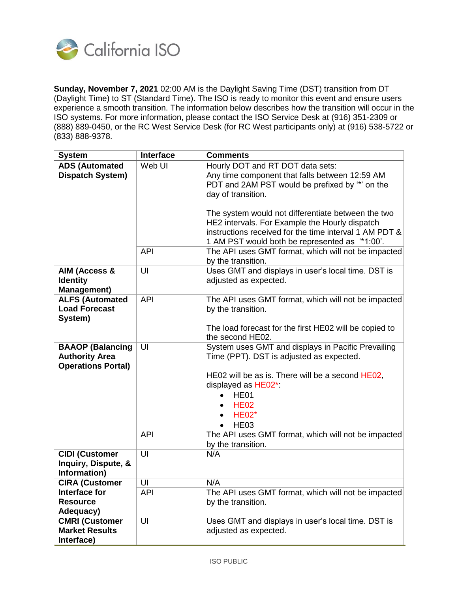

**Sunday, November 7, 2021** 02:00 AM is the Daylight Saving Time (DST) transition from DT (Daylight Time) to ST (Standard Time). The ISO is ready to monitor this event and ensure users experience a smooth transition. The information below describes how the transition will occur in the ISO systems. For more information, please contact the ISO Service Desk at (916) 351-2309 or (888) 889-0450, or the RC West Service Desk (for RC West participants only) at (916) 538-5722 or (833) 888-9378.

| <b>System</b>                                                | <b>Interface</b> | <b>Comments</b>                                                                                                                                                                                                                                                                                                                                                                 |
|--------------------------------------------------------------|------------------|---------------------------------------------------------------------------------------------------------------------------------------------------------------------------------------------------------------------------------------------------------------------------------------------------------------------------------------------------------------------------------|
| <b>ADS (Automated</b><br>Dispatch System)                    | Web UI           | Hourly DOT and RT DOT data sets:<br>Any time component that falls between 12:59 AM<br>PDT and 2AM PST would be prefixed by "*' on the<br>day of transition.<br>The system would not differentiate between the two<br>HE2 intervals. For Example the Hourly dispatch<br>instructions received for the time interval 1 AM PDT &<br>1 AM PST would both be represented as "*1:00". |
|                                                              | <b>API</b>       | The API uses GMT format, which will not be impacted<br>by the transition.                                                                                                                                                                                                                                                                                                       |
| AIM (Access &<br><b>Identity</b><br><b>Management)</b>       | UI               | Uses GMT and displays in user's local time. DST is<br>adjusted as expected.                                                                                                                                                                                                                                                                                                     |
| <b>ALFS (Automated</b><br><b>Load Forecast</b><br>System)    | <b>API</b>       | The API uses GMT format, which will not be impacted<br>by the transition.<br>The load forecast for the first HE02 will be copied to                                                                                                                                                                                                                                             |
| <b>BAAOP (Balancing</b>                                      | UI               | the second HE02.<br>System uses GMT and displays in Pacific Prevailing                                                                                                                                                                                                                                                                                                          |
| <b>Authority Area</b><br><b>Operations Portal)</b>           |                  | Time (PPT). DST is adjusted as expected.<br>HE02 will be as is. There will be a second HE02,<br>displayed as HE02*:<br>HE01<br>$\bullet$<br><b>HE02</b><br><b>HE02*</b><br>HE <sub>03</sub>                                                                                                                                                                                     |
|                                                              | <b>API</b>       | The API uses GMT format, which will not be impacted<br>by the transition.                                                                                                                                                                                                                                                                                                       |
| <b>CIDI (Customer</b><br>Inquiry, Dispute, &<br>Information) | UI               | N/A                                                                                                                                                                                                                                                                                                                                                                             |
| <b>CIRA (Customer</b>                                        | UI               | N/A                                                                                                                                                                                                                                                                                                                                                                             |
| Interface for<br><b>Resource</b><br>Adequacy)                | <b>API</b>       | The API uses GMT format, which will not be impacted<br>by the transition.                                                                                                                                                                                                                                                                                                       |
| <b>CMRI (Customer</b><br><b>Market Results</b><br>Interface) | UI               | Uses GMT and displays in user's local time. DST is<br>adjusted as expected.                                                                                                                                                                                                                                                                                                     |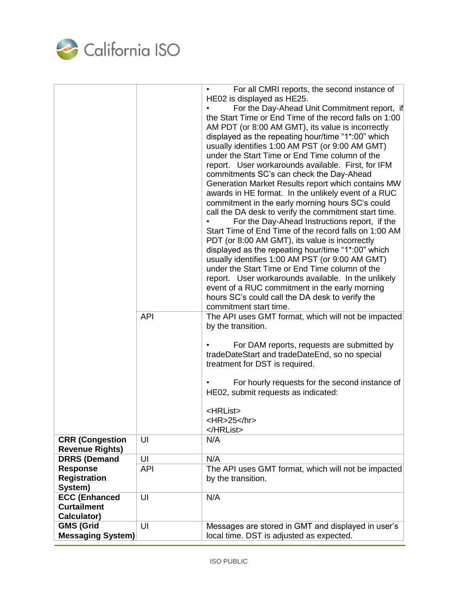

|                                                  | <b>API</b> | For all CMRI reports, the second instance of<br>HE02 is displayed as HE25.<br>For the Day-Ahead Unit Commitment report, if<br>the Start Time or End Time of the record falls on 1:00<br>AM PDT (or 8:00 AM GMT), its value is incorrectly<br>displayed as the repeating hour/time "1*:00" which<br>usually identifies 1:00 AM PST (or 9:00 AM GMT)<br>under the Start Time or End Time column of the<br>report. User workarounds available. First, for IFM<br>commitments SC's can check the Day-Ahead<br>Generation Market Results report which contains MW<br>awards in HE format. In the unlikely event of a RUC<br>commitment in the early morning hours SC's could<br>call the DA desk to verify the commitment start time.<br>For the Day-Ahead Instructions report, if the<br>Start Time of End Time of the record falls on 1:00 AM<br>PDT (or 8:00 AM GMT), its value is incorrectly<br>displayed as the repeating hour/time "1*:00" which<br>usually identifies 1:00 AM PST (or 9:00 AM GMT)<br>under the Start Time or End Time column of the<br>report. User workarounds available. In the unlikely<br>event of a RUC commitment in the early morning<br>hours SC's could call the DA desk to verify the<br>commitment start time.<br>The API uses GMT format, which will not be impacted<br>by the transition.<br>For DAM reports, requests are submitted by<br>tradeDateStart and tradeDateEnd, so no special<br>treatment for DST is required.<br>For hourly requests for the second instance of<br>HE02, submit requests as indicated:<br><hrlist><br/><hr/>25</hrlist> |
|--------------------------------------------------|------------|----------------------------------------------------------------------------------------------------------------------------------------------------------------------------------------------------------------------------------------------------------------------------------------------------------------------------------------------------------------------------------------------------------------------------------------------------------------------------------------------------------------------------------------------------------------------------------------------------------------------------------------------------------------------------------------------------------------------------------------------------------------------------------------------------------------------------------------------------------------------------------------------------------------------------------------------------------------------------------------------------------------------------------------------------------------------------------------------------------------------------------------------------------------------------------------------------------------------------------------------------------------------------------------------------------------------------------------------------------------------------------------------------------------------------------------------------------------------------------------------------------------------------------------------------------------------------------------|
|                                                  |            |                                                                                                                                                                                                                                                                                                                                                                                                                                                                                                                                                                                                                                                                                                                                                                                                                                                                                                                                                                                                                                                                                                                                                                                                                                                                                                                                                                                                                                                                                                                                                                                        |
| <b>CRR (Congestion</b><br><b>Revenue Rights)</b> | UI         | N/A                                                                                                                                                                                                                                                                                                                                                                                                                                                                                                                                                                                                                                                                                                                                                                                                                                                                                                                                                                                                                                                                                                                                                                                                                                                                                                                                                                                                                                                                                                                                                                                    |
| <b>DRRS (Demand</b>                              | UI         | N/A                                                                                                                                                                                                                                                                                                                                                                                                                                                                                                                                                                                                                                                                                                                                                                                                                                                                                                                                                                                                                                                                                                                                                                                                                                                                                                                                                                                                                                                                                                                                                                                    |
| <b>Response</b>                                  | <b>API</b> | The API uses GMT format, which will not be impacted                                                                                                                                                                                                                                                                                                                                                                                                                                                                                                                                                                                                                                                                                                                                                                                                                                                                                                                                                                                                                                                                                                                                                                                                                                                                                                                                                                                                                                                                                                                                    |
| <b>Registration</b>                              |            | by the transition.                                                                                                                                                                                                                                                                                                                                                                                                                                                                                                                                                                                                                                                                                                                                                                                                                                                                                                                                                                                                                                                                                                                                                                                                                                                                                                                                                                                                                                                                                                                                                                     |
| System)                                          |            |                                                                                                                                                                                                                                                                                                                                                                                                                                                                                                                                                                                                                                                                                                                                                                                                                                                                                                                                                                                                                                                                                                                                                                                                                                                                                                                                                                                                                                                                                                                                                                                        |
| <b>ECC (Enhanced</b>                             | UI         | N/A                                                                                                                                                                                                                                                                                                                                                                                                                                                                                                                                                                                                                                                                                                                                                                                                                                                                                                                                                                                                                                                                                                                                                                                                                                                                                                                                                                                                                                                                                                                                                                                    |
| <b>Curtailment</b><br>Calculator)                |            |                                                                                                                                                                                                                                                                                                                                                                                                                                                                                                                                                                                                                                                                                                                                                                                                                                                                                                                                                                                                                                                                                                                                                                                                                                                                                                                                                                                                                                                                                                                                                                                        |
| <b>GMS (Grid</b>                                 | UI         | Messages are stored in GMT and displayed in user's                                                                                                                                                                                                                                                                                                                                                                                                                                                                                                                                                                                                                                                                                                                                                                                                                                                                                                                                                                                                                                                                                                                                                                                                                                                                                                                                                                                                                                                                                                                                     |
| Messaging System)                                |            | local time. DST is adjusted as expected.                                                                                                                                                                                                                                                                                                                                                                                                                                                                                                                                                                                                                                                                                                                                                                                                                                                                                                                                                                                                                                                                                                                                                                                                                                                                                                                                                                                                                                                                                                                                               |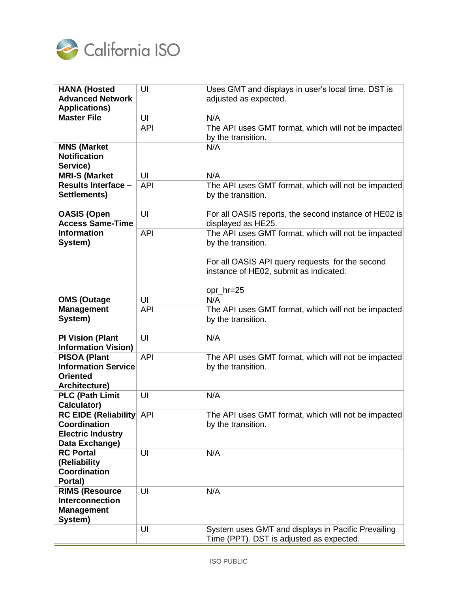

| <b>HANA (Hosted</b>             | UI             | Uses GMT and displays in user's local time. DST is    |
|---------------------------------|----------------|-------------------------------------------------------|
| <b>Advanced Network</b>         |                | adjusted as expected.                                 |
| <b>Applications)</b>            |                |                                                       |
| <b>Master File</b>              | UI             | N/A                                                   |
|                                 | <b>API</b>     | The API uses GMT format, which will not be impacted   |
|                                 |                |                                                       |
|                                 |                | by the transition.                                    |
| <b>MNS (Market</b>              |                | N/A                                                   |
| <b>Notification</b>             |                |                                                       |
| Service)                        |                |                                                       |
| <b>MRI-S (Market</b>            | UI             | N/A                                                   |
| <b>Results Interface -</b>      | <b>API</b>     | The API uses GMT format, which will not be impacted   |
| Settlements)                    |                | by the transition.                                    |
|                                 |                |                                                       |
|                                 | UI             |                                                       |
| <b>OASIS (Open</b>              |                | For all OASIS reports, the second instance of HE02 is |
| <b>Access Same-Time</b>         |                | displayed as HE25.                                    |
| <b>Information</b>              | <b>API</b>     | The API uses GMT format, which will not be impacted   |
| System)                         |                | by the transition.                                    |
|                                 |                |                                                       |
|                                 |                | For all OASIS API query requests for the second       |
|                                 |                | instance of HE02, submit as indicated:                |
|                                 |                |                                                       |
|                                 |                |                                                       |
|                                 |                | opr_hr=25                                             |
| <b>OMS (Outage</b>              | UI             | N/A                                                   |
| <b>Management</b>               | <b>API</b>     | The API uses GMT format, which will not be impacted   |
| System)                         |                | by the transition.                                    |
|                                 |                |                                                       |
| <b>PI Vision (Plant</b>         | UI             | N/A                                                   |
| <b>Information Vision)</b>      |                |                                                       |
| <b>PISOA (Plant</b>             | <b>API</b>     | The API uses GMT format, which will not be impacted   |
| <b>Information Service</b>      |                | by the transition.                                    |
| <b>Oriented</b>                 |                |                                                       |
| Architecture)                   |                |                                                       |
| <b>PLC (Path Limit</b>          | U <sub>l</sub> | N/A                                                   |
|                                 |                |                                                       |
| Calculator)                     |                |                                                       |
| <b>RC EIDE (Reliability</b> API |                | The API uses GMT format, which will not be impacted   |
| Coordination                    |                | by the transition.                                    |
| <b>Electric Industry</b>        |                |                                                       |
| Data Exchange)                  |                |                                                       |
| <b>RC Portal</b>                | UI             | N/A                                                   |
| (Reliability                    |                |                                                       |
| Coordination                    |                |                                                       |
| Portal)                         |                |                                                       |
| <b>RIMS (Resource</b>           | UI             | N/A                                                   |
| <b>Interconnection</b>          |                |                                                       |
|                                 |                |                                                       |
| <b>Management</b>               |                |                                                       |
| System)                         |                |                                                       |
|                                 | UI             | System uses GMT and displays in Pacific Prevailing    |
|                                 |                | Time (PPT). DST is adjusted as expected.              |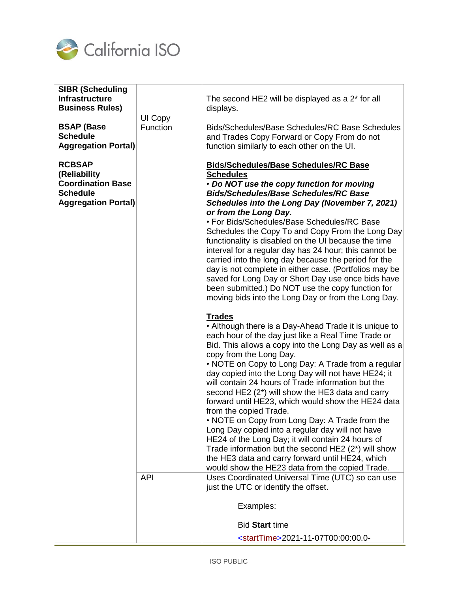

| <b>SIBR (Scheduling</b><br><b>Infrastructure</b><br><b>Business Rules)</b>                                 |                     | The second HE2 will be displayed as a 2* for all<br>displays.                                                                                                                                                                                                                                                                                                                                                                                                                                                                                                                                                                                                                                                                                                                                                                                      |
|------------------------------------------------------------------------------------------------------------|---------------------|----------------------------------------------------------------------------------------------------------------------------------------------------------------------------------------------------------------------------------------------------------------------------------------------------------------------------------------------------------------------------------------------------------------------------------------------------------------------------------------------------------------------------------------------------------------------------------------------------------------------------------------------------------------------------------------------------------------------------------------------------------------------------------------------------------------------------------------------------|
| <b>BSAP (Base</b><br><b>Schedule</b><br><b>Aggregation Portal)</b>                                         | UI Copy<br>Function | Bids/Schedules/Base Schedules/RC Base Schedules<br>and Trades Copy Forward or Copy From do not<br>function similarly to each other on the UI.                                                                                                                                                                                                                                                                                                                                                                                                                                                                                                                                                                                                                                                                                                      |
| <b>RCBSAP</b><br>(Reliability<br><b>Coordination Base</b><br><b>Schedule</b><br><b>Aggregation Portal)</b> |                     | <b>Bids/Schedules/Base Schedules/RC Base</b><br><b>Schedules</b><br>• Do NOT use the copy function for moving<br><b>Bids/Schedules/Base Schedules/RC Base</b><br>Schedules into the Long Day (November 7, 2021)<br>or from the Long Day.<br>• For Bids/Schedules/Base Schedules/RC Base<br>Schedules the Copy To and Copy From the Long Day<br>functionality is disabled on the UI because the time<br>interval for a regular day has 24 hour; this cannot be<br>carried into the long day because the period for the<br>day is not complete in either case. (Portfolios may be<br>saved for Long Day or Short Day use once bids have<br>been submitted.) Do NOT use the copy function for<br>moving bids into the Long Day or from the Long Day.                                                                                                  |
|                                                                                                            |                     | <b>Trades</b><br>• Although there is a Day-Ahead Trade it is unique to<br>each hour of the day just like a Real Time Trade or<br>Bid. This allows a copy into the Long Day as well as a<br>copy from the Long Day.<br>• NOTE on Copy to Long Day: A Trade from a regular<br>day copied into the Long Day will not have HE24; it<br>will contain 24 hours of Trade information but the<br>second HE2 (2*) will show the HE3 data and carry<br>forward until HE23, which would show the HE24 data<br>from the copied Trade.<br>• NOTE on Copy from Long Day: A Trade from the<br>Long Day copied into a regular day will not have<br>HE24 of the Long Day; it will contain 24 hours of<br>Trade information but the second HE2 (2*) will show<br>the HE3 data and carry forward until HE24, which<br>would show the HE23 data from the copied Trade. |
|                                                                                                            | <b>API</b>          | Uses Coordinated Universal Time (UTC) so can use<br>just the UTC or identify the offset.<br>Examples:                                                                                                                                                                                                                                                                                                                                                                                                                                                                                                                                                                                                                                                                                                                                              |
|                                                                                                            |                     | <b>Bid Start time</b><br><starttime>2021-11-07T00:00:00.0-</starttime>                                                                                                                                                                                                                                                                                                                                                                                                                                                                                                                                                                                                                                                                                                                                                                             |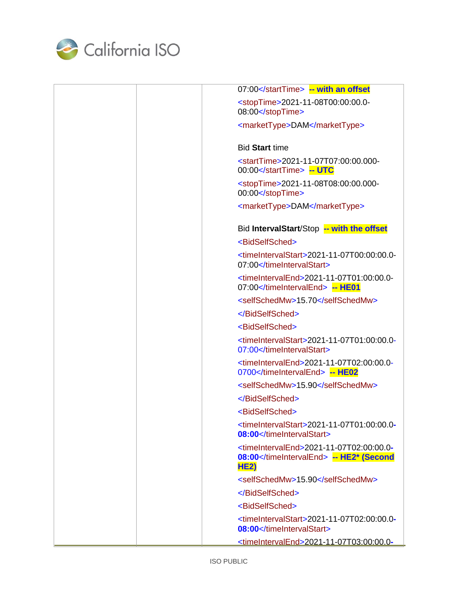